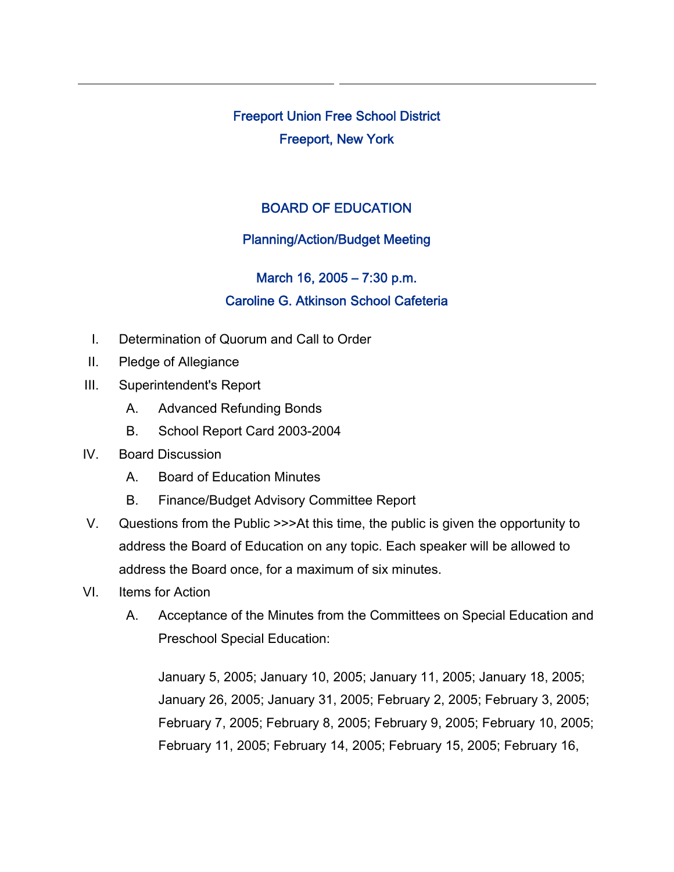Freeport Union Free School District Freeport, New York

## BOARD OF EDUCATION

## Planning/Action/Budget Meeting

## March 16, 2005 – 7:30 p.m. Caroline G. Atkinson School Cafeteria

- I. Determination of Quorum and Call to Order
- II. Pledge of Allegiance
- III. Superintendent's Report
	- A. Advanced Refunding Bonds
	- B. School Report Card 2003-2004
- IV. Board Discussion
	- A. Board of Education Minutes
	- B. Finance/Budget Advisory Committee Report
- V. Questions from the Public >>>At this time, the public is given the opportunity to address the Board of Education on any topic. Each speaker will be allowed to address the Board once, for a maximum of six minutes.
- VI. Items for Action
	- A. Acceptance of the Minutes from the Committees on Special Education and Preschool Special Education:

January 5, 2005; January 10, 2005; January 11, 2005; January 18, 2005; January 26, 2005; January 31, 2005; February 2, 2005; February 3, 2005; February 7, 2005; February 8, 2005; February 9, 2005; February 10, 2005; February 11, 2005; February 14, 2005; February 15, 2005; February 16,